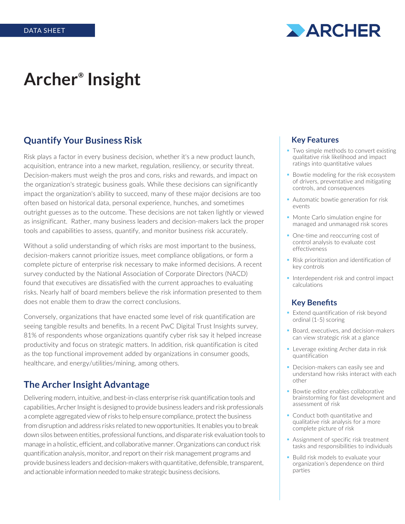

# **Archer® Insight**

## **Quantify Your Business Risk**

Risk plays a factor in every business decision, whether it's a new product launch, acquisition, entrance into a new market, regulation, resiliency, or security threat. Decision-makers must weigh the pros and cons, risks and rewards, and impact on the organization's strategic business goals. While these decisions can significantly impact the organization's ability to succeed, many of these major decisions are too often based on historical data, personal experience, hunches, and sometimes outright guesses as to the outcome. These decisions are not taken lightly or viewed as insignificant. Rather, many business leaders and decision-makers lack the proper tools and capabilities to assess, quantify, and monitor business risk accurately.

Without a solid understanding of which risks are most important to the business, decision-makers cannot prioritize issues, meet compliance obligations, or form a complete picture of enterprise risk necessary to make informed decisions. A recent survey conducted by the National Association of Corporate Directors (NACD) found that executives are dissatisfied with the current approaches to evaluating risks. Nearly half of board members believe the risk information presented to them does not enable them to draw the correct conclusions.

Conversely, organizations that have enacted some level of risk quantification are seeing tangible results and benefits. In a recent PwC Digital Trust Insights survey, 81% of respondents whose organizations quantify cyber risk say it helped increase productivity and focus on strategic matters. In addition, risk quantification is cited as the top functional improvement added by organizations in consumer goods, healthcare, and energy/utilities/mining, among others.

## **The Archer Insight Advantage**

Delivering modern, intuitive, and best-in-class enterprise risk quantification tools and capabilities, Archer Insight is designed to provide business leaders and risk professionals a complete aggregated view of risks to help ensure compliance, protect the business from disruption and address risks related to new opportunities. It enables you to break down silos between entities, professional functions, and disparate risk evaluation tools to manage in a holistic, efficient, and collaborative manner. Organizations can conduct risk quantification analysis, monitor, and report on their risk management programs and provide business leaders and decision-makers with quantitative, defensible, transparent, and actionable information needed to make strategic business decisions.

#### **Key Features**

- Two simple methods to convert existing qualitative risk likelihood and impact ratings into quantitative values
- **Bowtie modeling for the risk ecosystem** of drivers, preventative and mitigating controls, and consequences
- **Automatic bowtie generation for risk** events
- **Monte Carlo simulation engine for** managed and unmanaged risk scores
- One-time and reoccurring cost of control analysis to evaluate cost effectiveness
- Risk prioritization and identification of key controls
- **Interdependent risk and control impact** calculations

#### **Key Benefits**

- **Extend quantification of risk beyond** ordinal (1-5) scoring
- **Board, executives, and decision-makers** can view strategic risk at a glance
- **Leverage existing Archer data in risk** quantification
- **Decision-makers can easily see and** understand how risks interact with each other
- **Bowtie editor enables collaborative** brainstorming for fast development and assessment of risk
- Conduct both quantitative and qualitative risk analysis for a more complete picture of risk
- Assignment of specific risk treatment tasks and responsibilities to individuals
- **Build risk models to evaluate your** organization's dependence on third parties